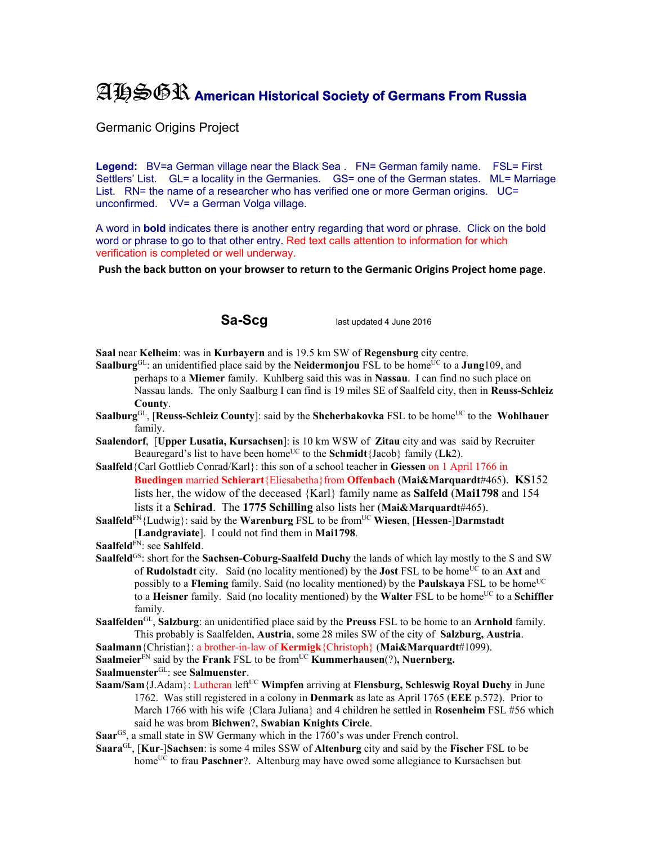## AHSGR **American Historical Society of Germans From Russia**

Germanic Origins Project

Legend: BV=a German village near the Black Sea . FN= German family name. FSL= First Settlers' List. GL= a locality in the Germanies. GS= one of the German states. ML= Marriage List. RN= the name of a researcher who has verified one or more German origins. UC= unconfirmed. VV= a German Volga village.

A word in **bold** indicates there is another entry regarding that word or phrase. Click on the bold word or phrase to go to that other entry. Red text calls attention to information for which verification is completed or well underway.

**Push the back button on your browser to return to the Germanic Origins Project home page**.

**Sa-Scg** last updated 4 June 2016

**Saal** near **Kelheim**: was in **Kurbayern** and is 19.5 km SW of **Regensburg** city centre.

- **Saalburg**<sup>GL</sup>: an unidentified place said by the **Neidermonjou** FSL to be home<sup>UC</sup> to a **Jung**109, and perhaps to a **Miemer** family. Kuhlberg said this was in **Nassau**. I can find no such place on Nassau lands. The only Saalburg I can find is 19 miles SE of Saalfeld city, then in **Reuss-Schleiz County**.
- **Saalburg**<sup>GL</sup>, [Reuss-Schleiz County]: said by the Shcherbakovka FSL to be home<sup>UC</sup> to the Wohlhauer family.
- **Saalendorf**, [**Upper Lusatia, Kursachsen**]: is 10 km WSW of **Zitau** city and was said by Recruiter Beauregard's list to have been home<sup>UC</sup> to the **Schmidt**{Jacob} family ( $Lk2$ ).
- **Saalfeld**{Carl Gottlieb Conrad/Karl}: this son of a school teacher in **Giessen** on 1 April 1766 in **Buedingen** married **Schierart**{Eliesabetha}from **Offenbach** (**Mai&Marquardt**#465). **KS**152 lists her, the widow of the deceased {Karl} family name as **Salfeld** (**Mai1798** and 154 lists it a **Schirad**. The **1775 Schilling** also lists her (**Mai&Marquardt**#465).
- **Saalfeld**<sup>FN</sup>{Ludwig}: said by the **Warenburg** FSL to be from<sup>UC</sup> **Wiesen**, [**Hessen**-]Darmstadt [**Landgraviate**]. I could not find them in **Mai1798**.
- **Saalfeld**FN: see **Sahlfeld**.
- **Saalfeld**<sup>GS</sup>: short for the **Sachsen-Coburg-Saalfeld Duchy** the lands of which lay mostly to the S and SW of **Rudolstadt** city. Said (no locality mentioned) by the **Jost** FSL to be home<sup>UC</sup> to an **Axt** and possibly to a **Fleming** family. Said (no locality mentioned) by the **Paulskaya** FSL to be home<sup>UC</sup> to a **Heisner** family. Said (no locality mentioned) by the **Walter** FSL to be home<sup>UC</sup> to a **Schiffler** family.
- **Saalfelden**GL, **Salzburg**: an unidentified place said by the **Preuss** FSL to be home to an **Arnhold** family. This probably is Saalfelden, **Austria**, some 28 miles SW of the city of **Salzburg, Austria**.

**Saalmann**{Christian}: a brother-in-law of **Kermigk**{Christoph} (**Mai&Marquardt**#1099).

**Saalmeier**<sup>FN</sup> said by the **Frank** FSL to be from<sup>UC</sup> **Kummerhausen**(?), **Nuernberg.** 

**Saalmuenster**GL: see **Salmuenster**.

- **Saam/Sam**{J.Adam}: Lutheran left<sup>UC</sup> Wimpfen arriving at **Flensburg, Schleswig Royal Duchy** in June 1762. Was still registered in a colony in **Denmark** as late as April 1765 (**EEE** p.572). Prior to March 1766 with his wife {Clara Juliana} and 4 children he settled in **Rosenheim** FSL #56 which said he was brom **Bichwen**?, **Swabian Knights Circle**.
- **Saar**GS, a small state in SW Germany which in the 1760's was under French control.
- **Saara**GL, [**Kur**-]**Sachsen**: is some 4 miles SSW of **Altenburg** city and said by the **Fischer** FSL to be home<sup>UC</sup> to frau **Paschner**?. Altenburg may have owed some allegiance to Kursachsen but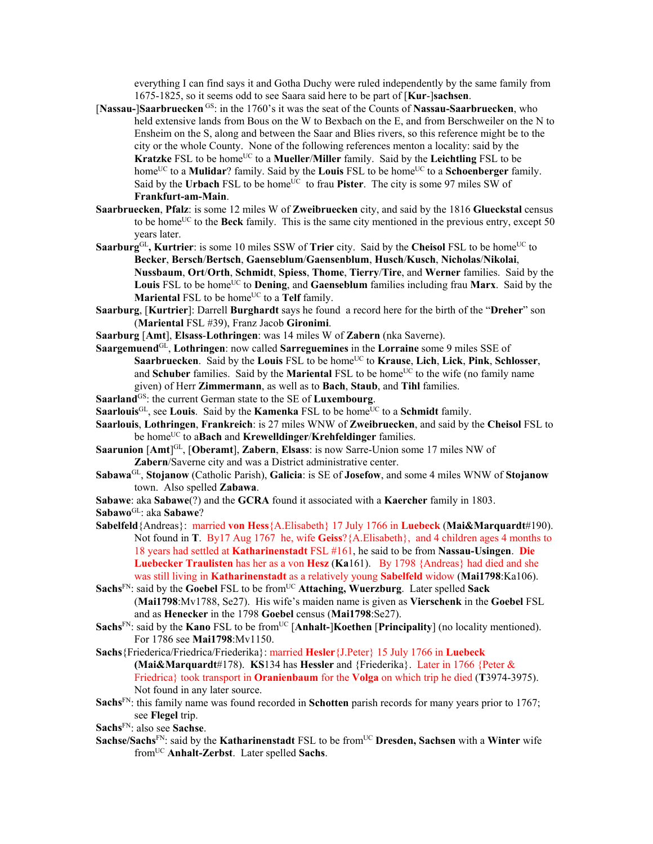everything I can find says it and Gotha Duchy were ruled independently by the same family from 1675-1825, so it seems odd to see Saara said here to be part of [**Kur**-]**sachsen**.

- [**Nassau-**]**Saarbruecken** GS: in the 1760's it was the seat of the Counts of **Nassau-Saarbruecken**, who held extensive lands from Bous on the W to Bexbach on the E, and from Berschweiler on the N to Ensheim on the S, along and between the Saar and Blies rivers, so this reference might be to the city or the whole County. None of the following references menton a locality: said by the **Kratzke** FSL to be home<sup>UC</sup> to a **Mueller/Miller** family. Said by the **Leichtling** FSL to be home<sup>UC</sup> to a **Mulidar**? family. Said by the **Louis** FSL to be home<sup>UC</sup> to a **Schoenberger** family. Said by the **Urbach** FSL to be home<sup>UC</sup> to frau **Pister**. The city is some 97 miles SW of **Frankfurt-am-Main**.
- **Saarbruecken**, **Pfalz**: is some 12 miles W of **Zweibruecken** city, and said by the 1816 **Glueckstal** census to be home<sup>UC</sup> to the **Beck** family. This is the same city mentioned in the previous entry, except 50 years later.
- Saarburg<sup>GL</sup>, Kurtrier: is some 10 miles SSW of Trier city. Said by the Cheisol FSL to be home<sup>UC</sup> to **Becker**, **Bersch**/**Bertsch**, **Gaenseblum**/**Gaensenblum**, **Husch**/**Kusch**, **Nicholas**/**Nikolai**, **Nussbaum**, **Ort**/**Orth**, **Schmidt**, **Spiess**, **Thome**, **Tierry**/**Tire**, and **Werner** families. Said by the **Louis** FSL to be home<sup>UC</sup> to **Dening**, and **Gaenseblum** families including frau **Marx**. Said by the **Mariental FSL to be home<sup>UC</sup> to a Telf** family.
- **Saarburg**, [**Kurtrier**]: Darrell **Burghardt** says he found a record here for the birth of the "**Dreher**" son (**Mariental** FSL #39), Franz Jacob **Gironimi**.
- **Saarburg** [**Amt**], **Elsass**-**Lothringen**: was 14 miles W of **Zabern** (nka Saverne).
- **Saargemuend**GL, **Lothringen**: now called **Sarreguemines** in the **Lorraine** some 9 miles SSE of **Saarbruecken**. Said by the **Louis** FSL to be homeUC to **Krause**, **Lich**, **Lick**, **Pink**, **Schlosser**, and **Schuber** families. Said by the **Mariental** FSL to be home<sup>UC</sup> to the wife (no family name given) of Herr **Zimmermann**, as well as to **Bach**, **Staub**, and **Tihl** families.
- Saarland<sup>GS</sup>: the current German state to the SE of **Luxembourg**.
- **Saarlouis**<sup>GL</sup>, see **Louis**. Said by the **Kamenka** FSL to be home<sup>UC</sup> to a **Schmidt** family.
- **Saarlouis**, **Lothringen**, **Frankreich**: is 27 miles WNW of **Zweibruecken**, and said by the **Cheisol** FSL to be homeUC to a**Bach** and **Krewelldinger**/**Krehfeldinger** families.
- **Saarunion** [Amt]<sup>GL</sup>, [Oberamt], Zabern, Elsass: is now Sarre-Union some 17 miles NW of **Zabern**/Saverne city and was a District administrative center.
- **Sabawa**GL, **Stojanow** (Catholic Parish), **Galicia**: is SE of **Josefow**, and some 4 miles WNW of **Stojanow** town. Also spelled **Zabawa**.
- **Sabawe**: aka **Sabawe**(?) and the **GCRA** found it associated with a **Kaercher** family in 1803.
- **Sabawo**GL: aka **Sabawe**?
- **Sabelfeld**{Andreas}: married **von Hess**{A.Elisabeth} 17 July 1766 in **Luebeck** (**Mai&Marquardt**#190). Not found in **T**. By17 Aug 1767 he, wife **Geiss**?{A.Elisabeth}, and 4 children ages 4 months to 18 years had settled at **Katharinenstadt** FSL #161, he said to be from **Nassau-Usingen**. **Die Luebecker Traulisten** has her as a von **Hesz** (**Ka**161). By 1798 {Andreas} had died and she was still living in **Katharinenstadt** as a relatively young **Sabelfeld** widow (**Mai1798**:Ka106).
- **Sachs**FN: said by the **Goebel** FSL to be fromUC **Attaching, Wuerzburg**. Later spelled **Sack** (**Mai1798**:Mv1788, Se27). His wife's maiden name is given as **Vierschenk** in the **Goebel** FSL and as **Henecker** in the 1798 **Goebel** census (**Mai1798**:Se27).
- **Sachs**FN: said by the **Kano** FSL to be from<sup>UC</sup> [Anhalt-]**Koethen** [Principality] (no locality mentioned). For 1786 see **Mai1798**:Mv1150.
- **Sachs**{Friederica/Friedrica/Friederika}: married **Hesler**{J.Peter} 15 July 1766 in **Luebeck (Mai&Marquardt**#178). **KS**134 has **Hessler** and {Friederika}. Later in 1766 {Peter & Friedrica} took transport in **Oranienbaum** for the **Volga** on which trip he died (**T**3974-3975). Not found in any later source.
- **Sachs**FN: this family name was found recorded in **Schotten** parish records for many years prior to 1767; see **Flegel** trip.
- **Sachs**FN: also see **Sachse**.
- **Sachse/Sachs**FN: said by the **Katharinenstadt** FSL to be fromUC **Dresden, Sachsen** with a **Winter** wife fromUC **Anhalt-Zerbst**. Later spelled **Sachs**.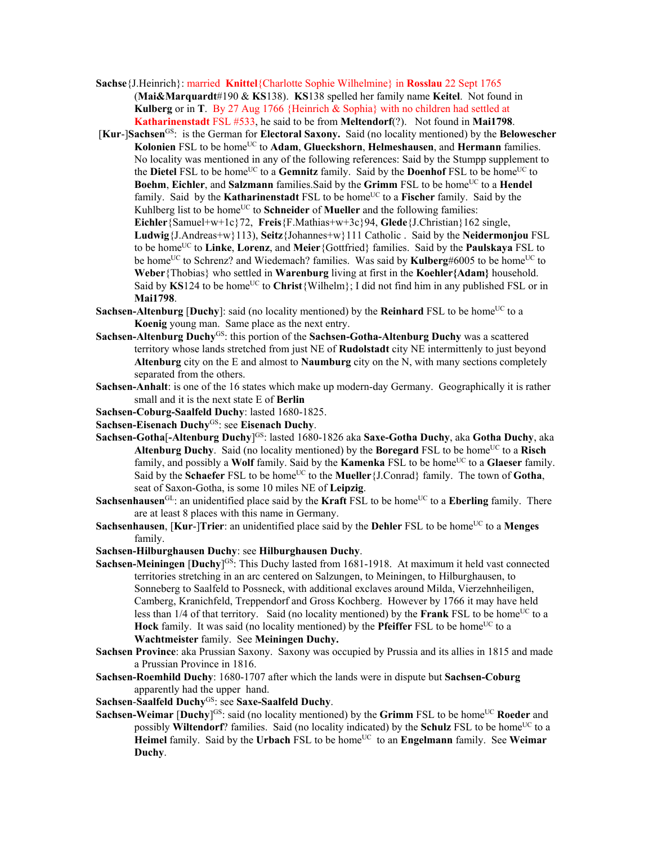- **Sachse**{J.Heinrich}: married **Knittel**{Charlotte Sophie Wilhelmine} in **Rosslau** 22 Sept 1765 (**Mai&Marquardt**#190 & **KS**138). **KS**138 spelled her family name **Keitel**. Not found in **Kulberg** or in **T**. By 27 Aug 1766 {Heinrich & Sophia} with no children had settled at **Katharinenstadt** FSL #533, he said to be from **Meltendorf**(?). Not found in **Mai1798**.
- [**Kur**-]**Sachsen**GS: is the German for **Electoral Saxony.** Said (no locality mentioned) by the **Belowescher**  Kolonien FSL to be home<sup>UC</sup> to Adam, Glueckshorn, Helmeshausen, and Hermann families. No locality was mentioned in any of the following references: Said by the Stumpp supplement to the **Dietel** FSL to be home<sup>UC</sup> to a **Gemnitz** family. Said by the **Doenhof** FSL to be home<sup>UC</sup> to **Boehm**, **Eichler**, and **Salzmann** families. Said by the Grimm FSL to be home<sup>UC</sup> to a **Hendel** family. Said by the **Katharinenstadt** FSL to be home<sup>UC</sup> to a **Fischer** family. Said by the Kuhlberg list to be home<sup>UC</sup> to **Schneider** of **Mueller** and the following families: **Eichler**{Samuel+w+1c}72, **Freis**{F.Mathias+w+3c}94, **Glede**{J.Christian}162 single, **Ludwig**{J.Andreas+w}113), **Seitz**{Johannes+w}111 Catholic . Said by the **Neidermonjou** FSL to be homeUC to **Linke**, **Lorenz**, and **Meier**{Gottfried} families. Said by the **Paulskaya** FSL to be home<sup>UC</sup> to Schrenz? and Wiedemach? families. Was said by **Kulberg#6005** to be home<sup>UC</sup> to **Weber**{Thobias} who settled in **Warenburg** living at first in the **Koehler{Adam}** household. Said by  $KS124$  to be home<sup>UC</sup> to Christ {Wilhelm}; I did not find him in any published FSL or in **Mai1798**.
- **Sachsen-Altenburg [Duchy]:** said (no locality mentioned) by the **Reinhard** FSL to be home<sup>UC</sup> to a **Koenig** young man. Same place as the next entry.
- **Sachsen-Altenburg Duchy**GS: this portion of the **Sachsen-Gotha-Altenburg Duchy** was a scattered territory whose lands stretched from just NE of **Rudolstadt** city NE intermittenly to just beyond **Altenburg** city on the E and almost to **Naumburg** city on the N, with many sections completely separated from the others.
- **Sachsen-Anhalt**: is one of the 16 states which make up modern-day Germany. Geographically it is rather small and it is the next state E of **Berlin**
- **Sachsen-Coburg-Saalfeld Duchy**: lasted 1680-1825.
- **Sachsen-Eisenach Duchy**GS: see **Eisenach Duchy**.
- **Sachsen-Gotha**[**-Altenburg Duchy**] GS: lasted 1680-1826 aka **Saxe-Gotha Duchy**, aka **Gotha Duchy**, aka Altenburg Duchy. Said (no locality mentioned) by the **Boregard** FSL to be home<sup>UC</sup> to a **Risch** family, and possibly a Wolf family. Said by the **Kamenka** FSL to be home<sup>UC</sup> to a Glaeser family. Said by the **Schaefer** FSL to be home<sup>UC</sup> to the **Mueller** {J.Conrad} family. The town of **Gotha**, seat of Saxon-Gotha, is some 10 miles NE of **Leipzig**.
- **Sachsenhausen**<sup>GL</sup>: an unidentified place said by the **Kraft** FSL to be home<sup>UC</sup> to a **Eberling** family. There are at least 8 places with this name in Germany.
- **Sachsenhausen**, [**Kur-**]Trier: an unidentified place said by the Dehler FSL to be home<sup>UC</sup> to a Menges family.
- **Sachsen-Hilburghausen Duchy**: see **Hilburghausen Duchy**.
- **Sachsen-Meiningen** *[Duchy*]<sup>GS</sup>: This Duchy lasted from 1681-1918. At maximum it held vast connected territories stretching in an arc centered on Salzungen, to Meiningen, to Hilburghausen, to Sonneberg to Saalfeld to Possneck, with additional exclaves around Milda, Vierzehnheiligen, Camberg, Kranichfeld, Treppendorf and Gross Kochberg. However by 1766 it may have held less than 1/4 of that territory. Said (no locality mentioned) by the **Frank** FSL to be home<sup>UC</sup> to a Hock family. It was said (no locality mentioned) by the **Pfeiffer** FSL to be home<sup>UC</sup> to a **Wachtmeister** family. See **Meiningen Duchy.**
- **Sachsen Province**: aka Prussian Saxony. Saxony was occupied by Prussia and its allies in 1815 and made a Prussian Province in 1816.
- **Sachsen-Roemhild Duchy**: 1680-1707 after which the lands were in dispute but **Sachsen-Coburg** apparently had the upper hand.
- **Sachsen**-**Saalfeld Duchy**GS: see **Saxe-Saalfeld Duchy**.
- **Sachsen-Weimar [Duchy**]<sup>GS</sup>: said (no locality mentioned) by the **Grimm** FSL to be home<sup>UC</sup> Roeder and possibly **Wiltendorf**? families. Said (no locality indicated) by the **Schulz** FSL to be home<sup>UC</sup> to a **Heimel** family. Said by the **Urbach** FSL to be home<sup>UC</sup> to an **Engelmann** family. See **Weimar Duchy**.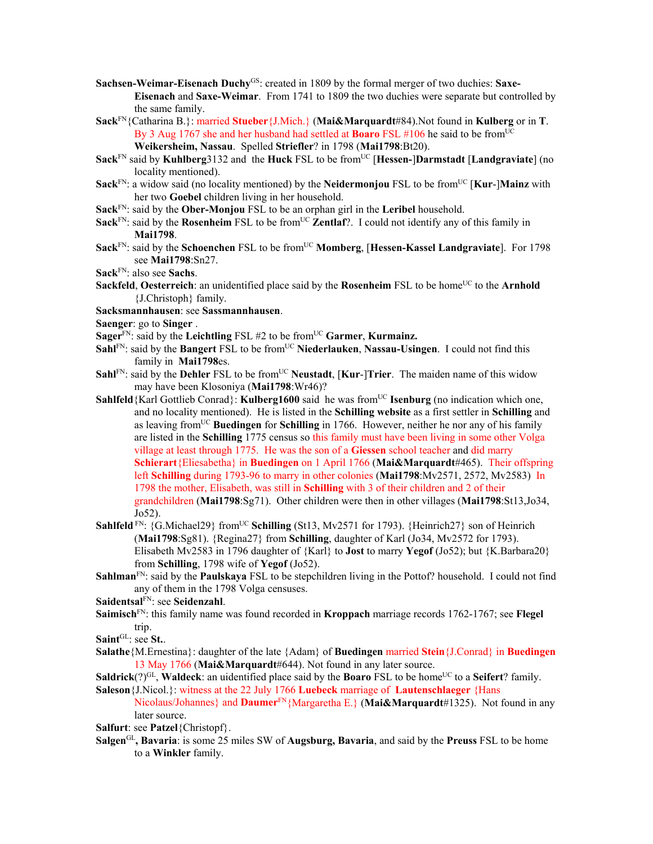- **Sachsen-Weimar-Eisenach Duchy<sup>GS</sup>: created in 1809 by the formal merger of two duchies: Saxe-Eisenach** and **Saxe-Weimar**. From 1741 to 1809 the two duchies were separate but controlled by the same family.
- **Sack**FN{Catharina B.}: married **Stueber**{J.Mich.} (**Mai&Marquardt**#84).Not found in **Kulberg** or in **T**. By 3 Aug 1767 she and her husband had settled at **Boaro** FSL #106 he said to be from<sup>UC</sup> **Weikersheim, Nassau**. Spelled **Striefler**? in 1798 (**Mai1798**:Bt20).
- **Sack**<sup>FN</sup> said by **Kuhlberg**3132 and the **Huck** FSL to be from<sup>UC</sup> [Hessen-]Darmstadt [Landgraviate] (no locality mentioned).
- **Sack**<sup>FN</sup>: a widow said (no locality mentioned) by the **Neidermonjou** FSL to be from<sup>UC</sup> [**Kur-**]**Mainz** with her two **Goebel** children living in her household.
- **Sack**FN: said by the **Ober-Monjou** FSL to be an orphan girl in the **Leribel** household.
- **Sack**<sup>FN</sup>: said by the **Rosenheim** FSL to be from<sup>UC</sup> **Zentlaf**?. I could not identify any of this family in **Mai1798**.
- **Sack**<sup>FN</sup>: said by the **Schoenchen** FSL to be from<sup>UC</sup> **Momberg**, [Hessen-Kassel Landgraviate]. For 1798 see **Mai1798**:Sn27.
- **Sack**FN: also see **Sachs**.
- **Sackfeld, Oesterreich**: an unidentified place said by the **Rosenheim** FSL to be home<sup>UC</sup> to the **Arnhold** {J.Christoph} family.
- **Sacksmannhausen**: see **Sassmannhausen**.
- **Saenger**: go to **Singer** .
- **Sager**<sup>FN</sup>: said by the **Leichtling** FSL #2 to be from<sup>UC</sup> Garmer, **Kurmainz.**
- **Sahl**FN: said by the **Bangert** FSL to be from<sup>UC</sup> Niederlauken, Nassau-Usingen. I could not find this family in **Mai1798**es.
- **Sahl**FN: said by the **Dehler** FSL to be from<sup>UC</sup> **Neustadt**, [**Kur-**]Trier. The maiden name of this widow may have been Klosoniya (**Mai1798**:Wr46)?
- **Sahlfeld**{Karl Gottlieb Conrad}: **Kulberg1600** said he was from<sup>UC</sup> **Isenburg** (no indication which one, and no locality mentioned). He is listed in the **Schilling website** as a first settler in **Schilling** and as leaving fromUC **Buedingen** for **Schilling** in 1766. However, neither he nor any of his family are listed in the **Schilling** 1775 census so this family must have been living in some other Volga village at least through 1775. He was the son of a **Giessen** school teacher and did marry **Schierart**{Eliesabetha} in **Buedingen** on 1 April 1766 (**Mai&Marquardt**#465). Their offspring left **Schilling** during 1793-96 to marry in other colonies (**Mai1798**:Mv2571, 2572, Mv2583) In 1798 the mother, Elisabeth, was still in **Schilling** with 3 of their children and 2 of their grandchildren (**Mai1798**:Sg71). Other children were then in other villages (**Mai1798**:St13,Jo34, Jo52).
- **Sahlfeld** FN: {G.Michael29} from<sup>UC</sup> **Schilling** (St13, Mv2571 for 1793). {Heinrich27} son of Heinrich (**Mai1798**:Sg81). {Regina27} from **Schilling**, daughter of Karl (Jo34, Mv2572 for 1793). Elisabeth Mv2583 in 1796 daughter of {Karl} to **Jost** to marry **Yegof** (Jo52); but {K.Barbara20} from **Schilling**, 1798 wife of **Yegof** (Jo52).
- **Sahlman**<sup>FN</sup>: said by the **Paulskaya** FSL to be stepchildren living in the Pottof? household. I could not find any of them in the 1798 Volga censuses.
- **Saidentsal**FN: see **Seidenzahl**.
- **Saimisch**FN: this family name was found recorded in **Kroppach** marriage records 1762-1767; see **Flegel** trip.
- **Saint**GL: see **St.**.
- **Salathe**{M.Ernestina}: daughter of the late {Adam} of **Buedingen** married **Stein**{J.Conrad} in **Buedingen**  13 May 1766 (**Mai&Marquardt**#644). Not found in any later source.
- **Saldrick**(?)<sup>GL</sup>, **Waldeck**: an uidentified place said by the **Boaro** FSL to be home<sup>UC</sup> to a **Seifert**? family. **Saleson**{J.Nicol.}: witness at the 22 July 1766 **Luebeck** marriage of **Lautenschlaeger** {Hans
	- Nicolaus/Johannes} and **Daumer**FN{Margaretha E.} (**Mai&Marquardt**#1325). Not found in any later source.

**Salfurt**: see **Patzel**{Christopf}.

**Salgen**GL**, Bavaria**: is some 25 miles SW of **Augsburg, Bavaria**, and said by the **Preuss** FSL to be home to a **Winkler** family.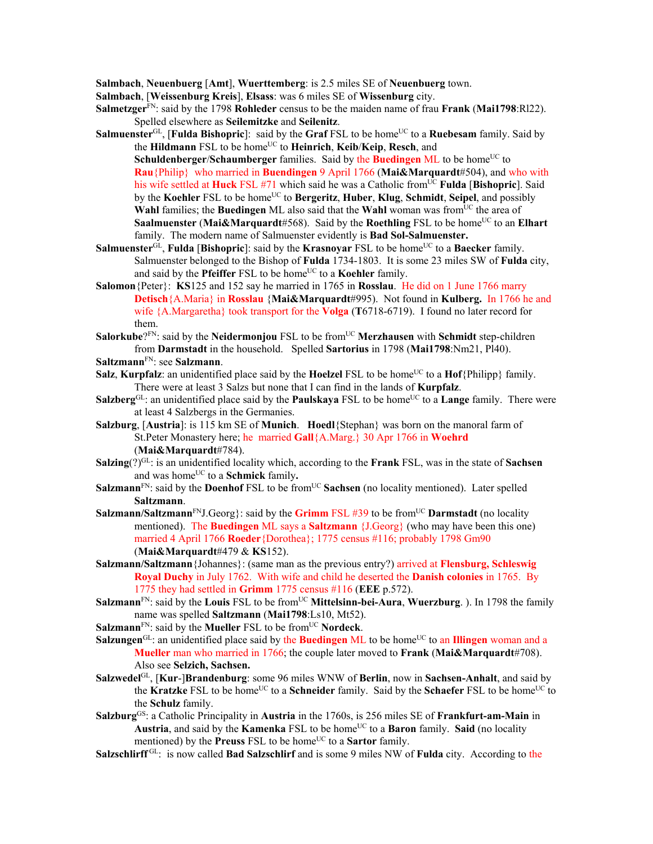**Salmbach**, **Neuenbuerg** [**Amt**], **Wuerttemberg**: is 2.5 miles SE of **Neuenbuerg** town.

- **Salmbach**, [**Weissenburg Kreis**], **Elsass**: was 6 miles SE of **Wissenburg** city.
- **Salmetzger**<sup>FN</sup>: said by the 1798 **Rohleder** census to be the maiden name of frau **Frank** (Mai1798:Rl22). Spelled elsewhere as **Seilemitzke** and **Seilenitz**.
- **Salmuenster**<sup>GL</sup>, [**Fulda Bishopric**]: said by the **Graf** FSL to be home<sup>UC</sup> to a **Ruebesam** family. Said by the **Hildmann** FSL to be home<sup>UC</sup> to **Heinrich**, **Keib/Keip**, **Resch**, and

**Schuldenberger/Schaumberger** families. Said by the **Buedingen** ML to be home<sup>UC</sup> to **Rau**{Philip} who married in **Buendingen** 9 April 1766 (**Mai&Marquardt**#504), and who with his wife settled at **Huck** FSL #71 which said he was a Catholic fromUC **Fulda** [**Bishopric**]. Said by the **Koehler** FSL to be homeUC to **Bergeritz**, **Huber**, **Klug**, **Schmidt**, **Seipel**, and possibly **Wahl** families; the **Buedingen** ML also said that the **Wahl** woman was from<sup>UC</sup> the area of **Saalmuenster** (Mai&Marquardt#568). Said by the Roethling FSL to be home<sup>UC</sup> to an Elhart family. The modern name of Salmuenster evidently is **Bad Sol-Salmuenster.**

- **Salmuenster**<sup>GL</sup>, **Fulda** [**Bishopric**]: said by the **Krasnoyar** FSL to be home<sup>UC</sup> to a **Baecker** family. Salmuenster belonged to the Bishop of **Fulda** 1734-1803. It is some 23 miles SW of **Fulda** city, and said by the **Pfeiffer** FSL to be home<sup>UC</sup> to a **Koehler** family.
- **Salomon**{Peter}: **KS**125 and 152 say he married in 1765 in **Rosslau**. He did on 1 June 1766 marry **Detisch**{A.Maria} in **Rosslau** {**Mai&Marquardt**#995). Not found in **Kulberg.** In 1766 he and wife {A.Margaretha} took transport for the **Volga** (**T**6718-6719). I found no later record for them.
- **Salorkube**?<sup>FN</sup>: said by the **Neidermonjou** FSL to be from<sup>UC</sup> **Merzhausen** with **Schmidt** step-children from **Darmstadt** in the household. Spelled **Sartorius** in 1798 (**Mai1798**:Nm21, Pl40).
- **Saltzmann**FN: see **Salzmann**.
- **Salz**, **Kurpfalz**: an unidentified place said by the **Hoelzel** FSL to be home<sup>UC</sup> to a **Hof**{Philipp} family. There were at least 3 Salzs but none that I can find in the lands of **Kurpfalz**.
- **Salzberg**GL: an unidentified place said by the **Paulskaya** FSL to be home<sup>UC</sup> to a **Lange** family. There were at least 4 Salzbergs in the Germanies.
- **Salzburg**, [**Austria**]: is 115 km SE of **Munich**. **Hoedl**{Stephan} was born on the manoral farm of St.Peter Monastery here; he married **Gall**{A.Marg.} 30 Apr 1766 in **Woehrd**  (**Mai&Marquardt**#784).
- **Salzing**(?)GL: is an unidentified locality which, according to the **Frank** FSL, was in the state of **Sachsen** and was home<sup>UC</sup> to a **Schmick** family.
- **Salzmann<sup>FN</sup>:** said by the **Doenhof** FSL to be from<sup>UC</sup> **Sachsen** (no locality mentioned). Later spelled **Saltzmann**.
- **Salzmann/Saltzmann<sup>FN</sup>J.Georg**}: said by the **Grimm** FSL #39 to be from<sup>UC</sup> **Darmstadt** (no locality mentioned). The **Buedingen** ML says a **Saltzmann** {J.Georg} (who may have been this one) married 4 April 1766 **Roeder**{Dorothea}; 1775 census #116; probably 1798 Gm90 (**Mai&Marquardt**#479 & **KS**152).
- **Salzmann/Saltzmann**{Johannes}: (same man as the previous entry?) arrived at **Flensburg, Schleswig Royal Duchy** in July 1762. With wife and child he deserted the **Danish colonies** in 1765. By 1775 they had settled in **Grimm** 1775 census #116 (**EEE** p.572).
- **Salzmann**<sup>FN</sup>: said by the **Louis** FSL to be from<sup>UC</sup> **Mittelsinn-bei-Aura**, **Wuerzburg**. ). In 1798 the family name was spelled **Saltzmann** (**Mai1798**:Ls10, Mt52).
- **Salzmann**<sup>FN</sup>: said by the **Mueller** FSL to be from<sup>UC</sup> **Nordeck**.
- **Salzungen**<sup>GL</sup>: an unidentified place said by the **Buedingen** ML to be home<sup>UC</sup> to an **Illingen** woman and a **Mueller** man who married in 1766; the couple later moved to **Frank** (**Mai&Marquardt**#708). Also see **Selzich, Sachsen.**
- **Salzwedel**GL, [**Kur**-]**Brandenburg**: some 96 miles WNW of **Berlin**, now in **Sachsen-Anhalt**, and said by the **Kratzke** FSL to be home<sup>UC</sup> to a **Schneider** family. Said by the **Schaefer** FSL to be home<sup>UC</sup> to the **Schulz** family.
- **Salzburg**GS: a Catholic Principality in **Austria** in the 1760s, is 256 miles SE of **Frankfurt-am-Main** in **Austria**, and said by the **Kamenka** FSL to be home<sup>UC</sup> to a **Baron** family. Said (no locality mentioned) by the **Preuss** FSL to be home<sup>UC</sup> to a **Sartor** family.
- **Salzschlirff** GL: is now called **Bad Salzschlirf** and is some 9 miles NW of **Fulda** city. According to the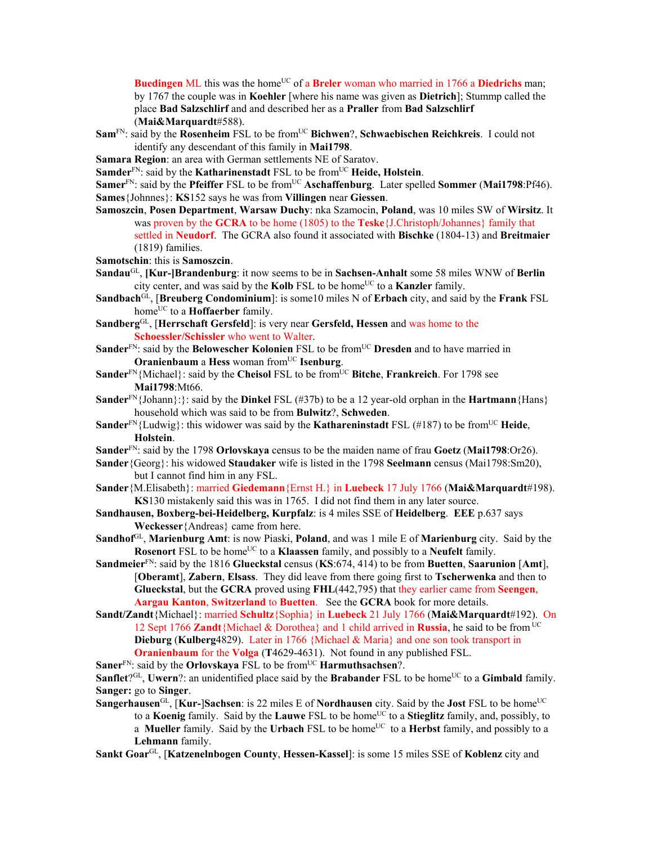**Buedingen** ML this was the home<sup>UC</sup> of a **Breler** woman who married in 1766 a **Diedrichs** man; by 1767 the couple was in **Koehler** [where his name was given as **Dietrich**]; Stummp called the place **Bad Salzschlirf** and and described her as a **Praller** from **Bad Salzschlirf** (**Mai&Marquardt**#588).

**Sam**FN: said by the **Rosenheim** FSL to be fromUC **Bichwen**?, **Schwaebischen Reichkreis**. I could not identify any descendant of this family in **Mai1798**.

**Samara Region**: an area with German settlements NE of Saratov.

**Samder**<sup>FN</sup>: said by the **Katharinenstadt** FSL to be from<sup>UC</sup> **Heide, Holstein**.

**Samer**<sup>FN</sup>: said by the **Pfeiffer** FSL to be from<sup>UC</sup> **Aschaffenburg**. Later spelled **Sommer** (Mai1798:Pf46). **Sames**{Johnnes}: **KS**152 says he was from **Villingen** near **Giessen**.

- **Samoszcin**, **Posen Department**, **Warsaw Duchy**: nka Szamocin, **Poland**, was 10 miles SW of **Wirsitz**. It was proven by the **GCRA** to be home (1805) to the **Teske**{J.Christoph/Johannes} family that settled in **Neudorf**. The GCRA also found it associated with **Bischke** (1804-13) and **Breitmaier** (1819) families.
- **Samotschin**: this is **Samoszcin**.
- **Sandau**GL, **[Kur-]Brandenburg**: it now seems to be in **Sachsen-Anhalt** some 58 miles WNW of **Berlin** city center, and was said by the **Kolb** FSL to be home<sup>UC</sup> to a **Kanzler** family.

**Sandbach**GL, [**Breuberg Condominium**]: is some10 miles N of **Erbach** city, and said by the **Frank** FSL home<sup>UC</sup> to a **Hoffaerber** family.

- **Sandberg**GL, [**Herrschaft Gersfeld**]: is very near **Gersfeld, Hessen** and was home to the **Schoessler/Schissler** who went to Walter.
- **Sander**<sup>FN</sup>: said by the **Belowescher Kolonien** FSL to be from<sup>UC</sup> **Dresden** and to have married in **Oranienbaum** a Hess woman from<sup>UC</sup> Isenburg.
- **Sander**<sup>FN</sup>{Michael}: said by the **Cheisol** FSL to be from<sup>UC</sup> Bitche, Frankreich. For 1798 see **Mai1798**:Mt66.
- **Sander**FN{Johann}:}: said by the **Dinkel** FSL (#37b) to be a 12 year-old orphan in the **Hartmann**{Hans} household which was said to be from **Bulwitz**?, **Schweden**.
- **Sander**FN{Ludwig}: this widower was said by the **Kathareninstadt** FSL (#187) to be fromUC **Heide**, **Holstein**.
- **Sander**FN: said by the 1798 **Orlovskaya** census to be the maiden name of frau **Goetz** (**Mai1798**:Or26).
- **Sander**{Georg}: his widowed **Staudaker** wife is listed in the 1798 **Seelmann** census (Mai1798:Sm20), but I cannot find him in any FSL.
- **Sander**{M.Elisabeth}: married **Giedemann**{Ernst H.} in **Luebeck** 17 July 1766 (**Mai&Marquardt**#198). **KS**130 mistakenly said this was in 1765. I did not find them in any later source.
- **Sandhausen, Boxberg-bei-Heidelberg, Kurpfalz**: is 4 miles SSE of **Heidelberg**. **EEE** p.637 says **Weckesser**{Andreas} came from here.
- **Sandhof**GL, **Marienburg Amt**: is now Piaski, **Poland**, and was 1 mile E of **Marienburg** city. Said by the **Rosenort** FSL to be home<sup>UC</sup> to a **Klaassen** family, and possibly to a **Neufelt** family.
- **Sandmeier**FN: said by the 1816 **Glueckstal** census (**KS**:674, 414) to be from **Buetten**, **Saarunion** [**Amt**], [**Oberamt**], **Zabern**, **Elsass**. They did leave from there going first to **Tscherwenka** and then to **Glueckstal**, but the **GCRA** proved using **FHL**(442,795) that they earlier came from **Seengen**, **Aargau Kanton**, **Switzerland** to **Buetten**. See the **GCRA** book for more details.
- **Sandt/Zandt**{Michael}: married **Schultz**{Sophia} in **Luebeck** 21 July 1766 (**Mai&Marquardt**#192). On 12 Sept 1766 **Zandt**{Michael & Dorothea} and 1 child arrived in **Russia**, he said to be from UC **Dieburg** (**Kulberg**4829). Later in 1766 {Michael & Maria} and one son took transport in **Oranienbaum** for the **Volga** (**T**4629-4631). Not found in any published FSL.
- **Saner**<sup>FN</sup>: said by the **Orlovskaya** FSL to be from<sup>UC</sup> **Harmuthsachsen**?.

**Sanflet**?<sup>GL</sup>, **Uwern**?: an unidentified place said by the **Brabander** FSL to be home<sup>UC</sup> to a **Gimbald** family. **Sanger:** go to **Singer**.

**Sangerhausen**<sup>GL</sup>, **[Kur-**]**Sachsen**: is 22 miles E of **Nordhausen** city. Said by the **Jost** FSL to be home<sup>UC</sup> to a **Koenig** family. Said by the **Lauwe** FSL to be home<sup>UC</sup> to a **Stieglitz** family, and, possibly, to a **Mueller** family. Said by the **Urbach** FSL to be home<sup>UC</sup> to a **Herbst** family, and possibly to a **Lehmann** family.

**Sankt Goar**GL, [**Katzenelnbogen County**, **Hessen-Kassel**]: is some 15 miles SSE of **Koblenz** city and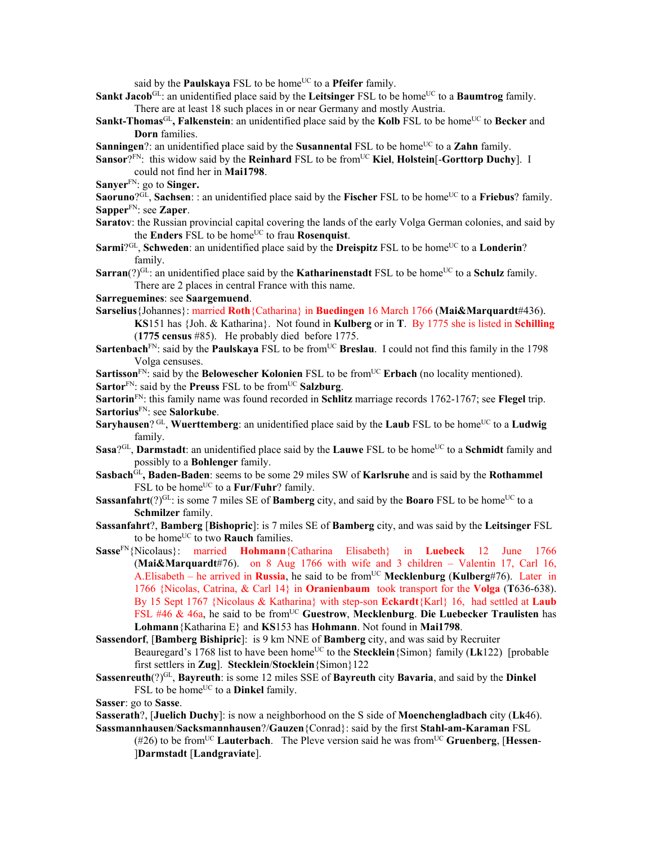said by the **Paulskaya** FSL to be home<sup>UC</sup> to a **Pfeifer** family.

- Sankt Jacob<sup>GL</sup>: an unidentified place said by the Leitsinger FSL to be home<sup>UC</sup> to a Baumtrog family. There are at least 18 such places in or near Germany and mostly Austria.
- **Sankt-Thomas**<sup>GL</sup>, Falkenstein: an unidentified place said by the Kolb FSL to be home<sup>UC</sup> to Becker and **Dorn** families.
- **Sanningen**?: an unidentified place said by the **Susannental** FSL to be home<sup>UC</sup> to a **Zahn** family.
- **Sansor**?FN: this widow said by the **Reinhard** FSL to be from<sup>UC</sup> Kiel, Holstein<sup>[</sup>-Gorttorp Duchy]. I could not find her in **Mai1798**.
- **Sanyer**FN: go to **Singer.**
- **Saoruno**?<sup>GL</sup>, **Sachsen**: : an unidentified place said by the **Fischer** FSL to be home<sup>UC</sup> to a **Friebus**? family. **Sapper**FN: see **Zaper**.
- **Saratov**: the Russian provincial capital covering the lands of the early Volga German colonies, and said by the **Enders** FSL to be home<sup>UC</sup> to frau **Rosenquist**.
- **Sarmi**?<sup>GL</sup>, **Schweden**: an unidentified place said by the **Dreispitz** FSL to be home<sup>UC</sup> to a **Londerin**? family.
- **Sarran**(?)<sup>GL</sup>: an unidentified place said by the **Katharinenstadt** FSL to be home<sup>UC</sup> to a **Schulz** family. There are 2 places in central France with this name.

**Sarreguemines**: see **Saargemuend**.

- **Sarselius**{Johannes}: married **Roth**{Catharina} in **Buedingen** 16 March 1766 (**Mai&Marquardt**#436). **KS**151 has {Joh. & Katharina}. Not found in **Kulberg** or in **T**. By 1775 she is listed in **Schilling** (**1775 census** #85). He probably died before 1775.
- Sartenbach<sup>FN</sup>: said by the **Paulskaya** FSL to be from<sup>UC</sup> Breslau. I could not find this family in the 1798 Volga censuses.
- **Sartisson**FN: said by the **Belowescher Kolonien** FSL to be fromUC **Erbach** (no locality mentioned).
- Sartor<sup>FN</sup>: said by the **Preuss** FSL to be from<sup>UC</sup> Salzburg.

**Sartorin**FN: this family name was found recorded in **Schlitz** marriage records 1762-1767; see **Flegel** trip. **Sartorius**FN: see **Salorkube**.

- **Saryhausen**? GL, **Wuerttemberg**: an unidentified place said by the **Laub** FSL to be home<sup>UC</sup> to a **Ludwig** family.
- **Sasa**?<sup>GL</sup>, **Darmstadt**: an unidentified place said by the **Lauwe** FSL to be home<sup>UC</sup> to a **Schmidt** family and possibly to a **Bohlenger** family.
- **Sasbach**GL**, Baden-Baden**: seems to be some 29 miles SW of **Karlsruhe** and is said by the **Rothammel** FSL to be home<sup>UC</sup> to a **Fur/Fuhr**? family.
- **Sassanfahrt**(?)<sup>GL</sup>: is some 7 miles SE of **Bamberg** city, and said by the **Boaro** FSL to be home<sup>UC</sup> to a **Schmilzer** family.
- **Sassanfahrt**?, **Bamberg** [**Bishopric**]: is 7 miles SE of **Bamberg** city, and was said by the **Leitsinger** FSL to be home<sup>UC</sup> to two **Rauch** families.
- **Sasse**FN{Nicolaus}: married **Hohmann**{Catharina Elisabeth} in **Luebeck** 12 June 1766 (**Mai&Marquardt**#76). on 8 Aug 1766 with wife and 3 children – Valentin 17, Carl 16, A. Elisabeth – he arrived in **Russia**, he said to be from<sup>UC</sup> **Mecklenburg** (**Kulberg**#76). Later in 1766 {Nicolas, Catrina, & Carl 14} in **Oranienbaum** took transport for the **Volga** (**T**636-638). By 15 Sept 1767 {Nicolaus & Katharina} with step-son **Eckardt**{Karl} 16, had settled at **Laub** FSL #46 & 46a, he said to be from<sup>UC</sup> Guestrow, Mecklenburg. Die Luebecker Traulisten has **Lohmann**{Katharina E} and **KS**153 has **Hohmann**. Not found in **Mai1798**.
- **Sassendorf**, [**Bamberg Bishipric**]: is 9 km NNE of **Bamberg** city, and was said by Recruiter Beauregard's 1768 list to have been home<sup>UC</sup> to the **Stecklein** {Simon} family (**Lk**122) [probable first settlers in **Zug**]. **Stecklein**/**Stocklein**{Simon}122
- **Sassenreuth**(?)GL, **Bayreuth**: is some 12 miles SSE of **Bayreuth** city **Bavaria**, and said by the **Dinkel** FSL to be home<sup>UC</sup> to a **Dinkel** family.

**Sasser**: go to **Sasse**.

- **Sasserath**?, [**Juelich Duchy**]: is now a neighborhood on the S side of **Moenchengladbach** city (**Lk**46). **Sassmannhausen**/**Sacksmannhausen**?/**Gauzen**{Conrad}: said by the first **Stahl-am-Karaman** FSL
	- (#26) to be fromUC **Lauterbach**. The Pleve version said he was fromUC **Gruenberg**, [**Hessen** ]**Darmstadt** [**Landgraviate**].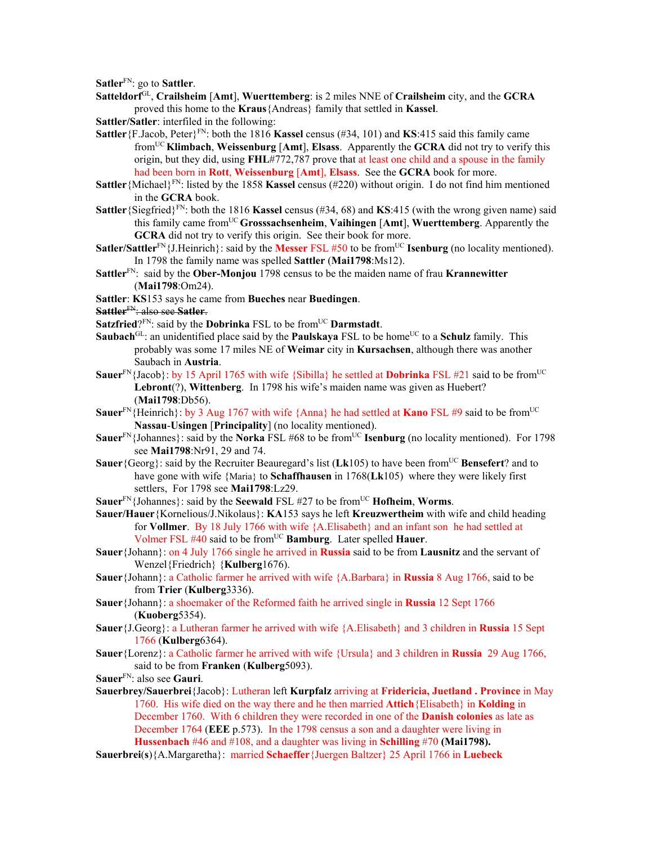**Satler**FN: go to **Sattler**.

- **Satteldorf**GL, **Crailsheim** [**Amt**], **Wuerttemberg**: is 2 miles NNE of **Crailsheim** city, and the **GCRA** proved this home to the **Kraus**{Andreas} family that settled in **Kassel**.
- **Sattler/Satler**: interfiled in the following:
- **Sattler** {F.Jacob, Peter}<sup>FN</sup>: both the 1816 **Kassel** census (#34, 101) and **KS**:415 said this family came fromUC **Klimbach**, **Weissenburg** [**Amt**], **Elsass**. Apparently the **GCRA** did not try to verify this origin, but they did, using **FHL**#772,787 prove that at least one child and a spouse in the family had been born in **Rott**, **Weissenburg** [**Amt**], **Elsass**. See the **GCRA** book for more.
- **Sattler** {Michael}<sup>FN</sup>: listed by the 1858 **Kassel** census (#220) without origin. I do not find him mentioned in the **GCRA** book.
- **Sattler**{Siegfried}FN: both the 1816 **Kassel** census (#34, 68) and **KS**:415 (with the wrong given name) said this family came fromUC **Grosssachsenheim**, **Vaihingen** [**Amt**], **Wuerttemberg**. Apparently the **GCRA** did not try to verify this origin. See their book for more.
- **Satler/Sattler**<sup>FN</sup>{J.Heinrich}: said by the **Messer** FSL #50 to be from<sup>UC</sup> **Isenburg** (no locality mentioned). In 1798 the family name was spelled **Sattler** (**Mai1798**:Ms12).
- **Sattler**FN: said by the **Ober-Monjou** 1798 census to be the maiden name of frau **Krannewitter** (**Mai1798**:Om24).
- **Sattler**: **KS**153 says he came from **Bueches** near **Buedingen**.
- **Sattler**FN: also see **Satler**.
- **Satzfried**?<sup>FN</sup>: said by the **Dobrinka** FSL to be from<sup>UC</sup> **Darmstadt**.
- Saubach<sup>GL</sup>: an unidentified place said by the **Paulskaya** FSL to be home<sup>UC</sup> to a Schulz family. This probably was some 17 miles NE of **Weimar** city in **Kursachsen**, although there was another Saubach in **Austria**.
- **Sauer**<sup>FN</sup>{Jacob}: by 15 April 1765 with wife {Sibilla} he settled at **Dobrinka** FSL #21 said to be from<sup>UC</sup> **Lebront**(?), **Wittenberg**. In 1798 his wife's maiden name was given as Huebert? (**Mai1798**:Db56).
- Sauer<sup>FN</sup>{Heinrich}: by 3 Aug 1767 with wife {Anna} he had settled at **Kano** FSL #9 said to be from<sup>UC</sup> **Nassau**-**Usingen** [**Principality**] (no locality mentioned).
- **Sauer**<sup>FN</sup>{Johannes}: said by the **Norka** FSL #68 to be from<sup>UC</sup> **Isenburg** (no locality mentioned). For 1798 see **Mai1798**:Nr91, 29 and 74.
- **Sauer**{Georg}: said by the Recruiter Beauregard's list (Lk105) to have been from<sup>UC</sup> Bensefert? and to have gone with wife {Maria} to **Schaffhausen** in 1768(**Lk**105) where they were likely first settlers, For 1798 see **Mai1798**:Lz29.
- **Sauer**<sup>FN</sup>{Johannes}: said by the **Seewald** FSL #27 to be from<sup>UC</sup> **Hofheim**, **Worms**.
- **Sauer/Hauer**{Kornelious/J.Nikolaus}: **KA**153 says he left **Kreuzwertheim** with wife and child heading for **Vollmer**. By 18 July 1766 with wife {A.Elisabeth} and an infant son he had settled at Volmer FSL #40 said to be fromUC **Bamburg**. Later spelled **Hauer**.
- **Sauer**{Johann}: on 4 July 1766 single he arrived in **Russia** said to be from **Lausnitz** and the servant of Wenzel{Friedrich} {**Kulberg**1676).
- **Sauer**{Johann}: a Catholic farmer he arrived with wife {A.Barbara} in **Russia** 8 Aug 1766, said to be from **Trier** (**Kulberg**3336).
- **Sauer**{Johann}: a shoemaker of the Reformed faith he arrived single in **Russia** 12 Sept 1766 (**Kuoberg**5354).
- **Sauer**{J.Georg}: a Lutheran farmer he arrived with wife {A.Elisabeth} and 3 children in **Russia** 15 Sept 1766 (**Kulberg**6364).
- **Sauer**{Lorenz}: a Catholic farmer he arrived with wife {Ursula} and 3 children in **Russia** 29 Aug 1766, said to be from **Franken** (**Kulberg**5093).
- **Sauer**FN: also see **Gauri**.
- **Sauerbrey/Sauerbrei**{Jacob}: Lutheran left **Kurpfalz** arriving at **Fridericia, Juetland . Province** in May 1760. His wife died on the way there and he then married **Attich**{Elisabeth} in **Kolding** in December 1760. With 6 children they were recorded in one of the **Danish colonies** as late as December 1764 (**EEE** p.573). In the 1798 census a son and a daughter were living in **Hussenbach** #46 and #108, and a daughter was living in **Schilling** #70 **(Mai1798).**
- **Sauerbrei**(**s**){A.Margaretha}: married **Schaeffer**{Juergen Baltzer} 25 April 1766 in **Luebeck**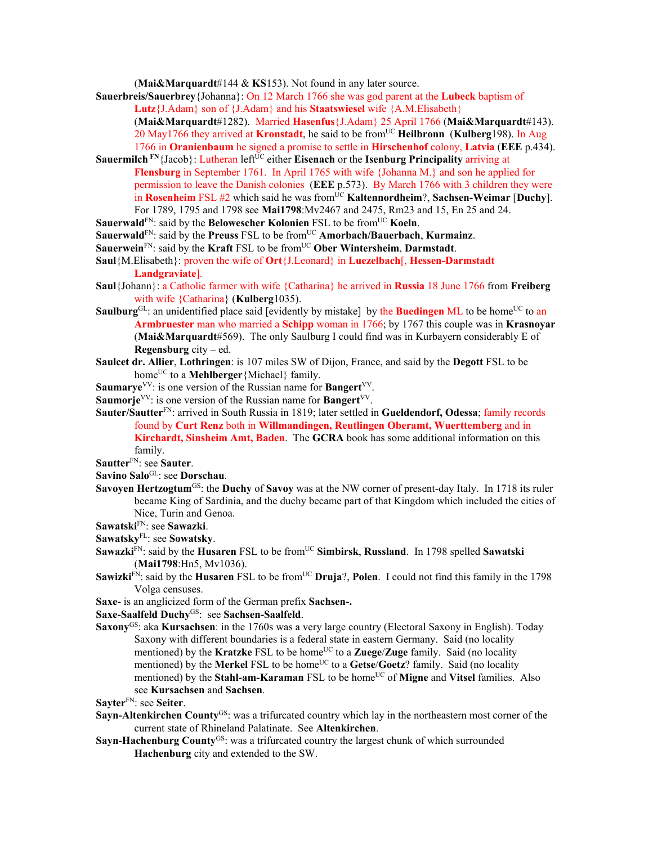(**Mai&Marquardt**#144 & **KS**153). Not found in any later source.

**Sauerbreis/Sauerbrey**{Johanna}: On 12 March 1766 she was god parent at the **Lubeck** baptism of **Lutz**{J.Adam} son of {J.Adam} and his **Staatswiesel** wife {A.M.Elisabeth} (**Mai&Marquardt**#1282). Married **Hasenfus**{J.Adam} 25 April 1766 (**Mai&Marquardt**#143). 20 May1766 they arrived at **Kronstadt**, he said to be fromUC **Heilbronn** (**Kulberg**198). In Aug 1766 in **Oranienbaum** he signed a promise to settle in **Hirschenhof** colony, **Latvia** (**EEE** p.434).

**Sauermilch** FN<sub>{Jacob}</sub>: Lutheran left<sup>UC</sup> either **Eisenach** or the **Isenburg Principality** arriving at **Flensburg** in September 1761. In April 1765 with wife {Johanna M.} and son he applied for permission to leave the Danish colonies (**EEE** p.573). By March 1766 with 3 children they were in **Rosenheim** FSL #2 which said he was from<sup>UC</sup> Kaltennordheim?, Sachsen-Weimar [Duchy]. For 1789, 1795 and 1798 see **Mai1798**:Mv2467 and 2475, Rm23 and 15, En 25 and 24.

**Sauerwald**<sup>FN</sup>: said by the **Belowescher Kolonien** FSL to be from<sup>UC</sup> **Koeln**.

**Sauerwald**<sup>FN</sup>: said by the **Preuss** FSL to be from<sup>UC</sup> **Amorbach/Bauerbach, Kurmainz.** 

**Sauerwein**<sup>FN</sup>: said by the **Kraft** FSL to be from<sup>UC</sup> Ober Wintersheim, Darmstadt.

**Saul**{M.Elisabeth}: proven the wife of **Ort**{J.Leonard} in **Luezelbach**[, **Hessen-Darmstadt Landgraviate**].

- **Saul**{Johann}: a Catholic farmer with wife {Catharina} he arrived in **Russia** 18 June 1766 from **Freiberg**  with wife {Catharina} (**Kulberg**1035).
- **Saulburg**<sup>GL</sup>: an unidentified place said [evidently by mistake] by the **Buedingen** ML to be home<sup>UC</sup> to an **Armbruester** man who married a **Schipp** woman in 1766; by 1767 this couple was in **Krasnoyar** (**Mai&Marquardt**#569). The only Saulburg I could find was in Kurbayern considerably E of **Regensburg** city – ed.
- **Saulcet dr. Allier**, **Lothringen**: is 107 miles SW of Dijon, France, and said by the **Degott** FSL to be home<sup>UC</sup> to a **Mehlberger** {Michael} family.
- **Saumarye**<sup>VV</sup>: is one version of the Russian name for **Bangert**<sup>VV</sup>.
- **Saumorje**<sup>VV</sup>: is one version of the Russian name for **Bangert**<sup>VV</sup>.
- **Sauter/Sautter**FN: arrived in South Russia in 1819; later settled in **Gueldendorf, Odessa**; family records found by **Curt Renz** both in **Willmandingen, Reutlingen Oberamt, Wuerttemberg** and in **Kirchardt, Sinsheim Amt, Baden**. The **GCRA** book has some additional information on this family.

**Sautter**FN: see **Sauter**.

- **Savino Salo**GL: see **Dorschau**.
- **Savoyen Hertzogtum<sup>GS</sup>: the Duchy of Savoy** was at the NW corner of present-day Italy. In 1718 its ruler became King of Sardinia, and the duchy became part of that Kingdom which included the cities of Nice, Turin and Genoa.

**Sawatski**FN: see **Sawazki**.

**Sawatsky**FL: see **Sowatsky**.

- Sawazki<sup>FN</sup>: said by the **Husaren** FSL to be from<sup>UC</sup> Simbirsk, Russland. In 1798 spelled Sawatski (**Mai1798**:Hn5, Mv1036).
- **Sawizki**<sup>FN</sup>: said by the **Husaren** FSL to be from<sup>UC</sup> **Druja**?, **Polen**. I could not find this family in the 1798 Volga censuses.

**Saxe-** is an anglicized form of the German prefix **Sachsen-.**

**Saxe-Saalfeld Duchy**GS:see **Sachsen-Saalfeld**.

**Saxony**GS: aka **Kursachsen**: in the 1760s was a very large country (Electoral Saxony in English). Today Saxony with different boundaries is a federal state in eastern Germany. Said (no locality mentioned) by the **Kratzke** FSL to be home<sup>UC</sup> to a **Zuege/Zuge** family. Said (no locality mentioned) by the Merkel FSL to be home<sup>UC</sup> to a Getse/Goetz? family. Said (no locality mentioned) by the **Stahl-am-Karaman** FSL to be home<sup>UC</sup> of **Migne** and **Vitsel** families. Also see **Kursachsen** and **Sachsen**.

**Sayter**FN: see **Seiter**.

- **Sayn-Altenkirchen County**<sup>GS</sup>: was a trifurcated country which lay in the northeastern most corner of the current state of Rhineland Palatinate. See **Altenkirchen**.
- **Sayn-Hachenburg County<sup>GS</sup>:** was a trifurcated country the largest chunk of which surrounded **Hachenburg** city and extended to the SW.